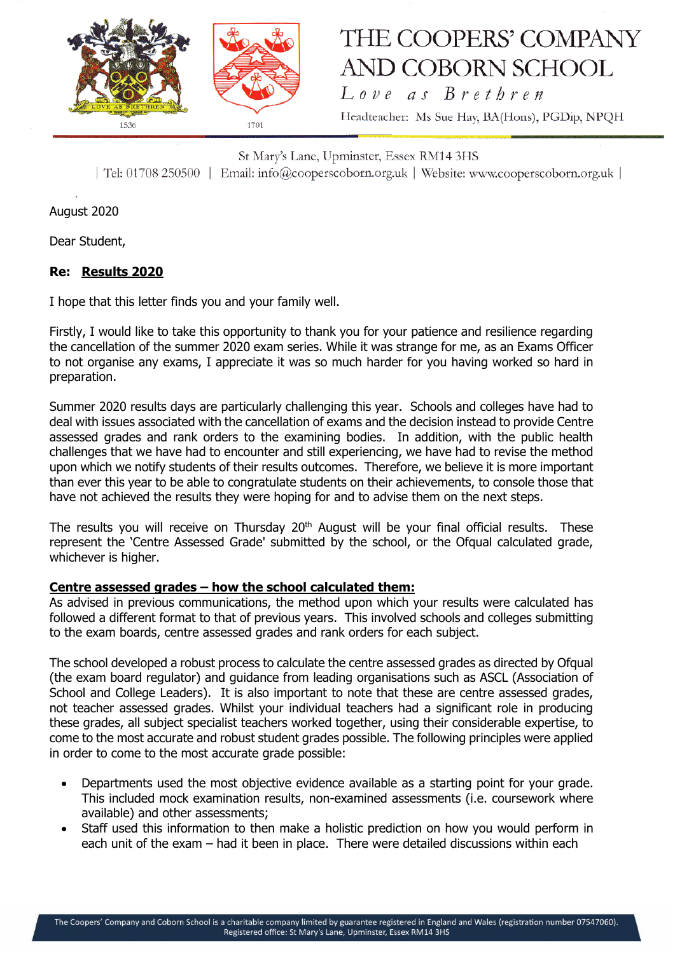

# THE COOPERS' COMPANY **AND COBORN SCHOOL**

Love as Brethren Headteacher: Ms Sue Hay, BA(Hons), PGDip, NPQH

St Mary's Lane, Upminster, Essex RM14 3HS | Tel: 01708 250500 | Email: info@cooperscoborn.org.uk | Website: www.cooperscoborn.org.uk |

August 2020

Dear Student,

# **Re: Results 2020**

I hope that this letter finds you and your family well.

Firstly, I would like to take this opportunity to thank you for your patience and resilience regarding the cancellation of the summer 2020 exam series. While it was strange for me, as an Exams Officer to not organise any exams, I appreciate it was so much harder for you having worked so hard in preparation.

Summer 2020 results days are particularly challenging this year. Schools and colleges have had to deal with issues associated with the cancellation of exams and the decision instead to provide Centre assessed grades and rank orders to the examining bodies. In addition, with the public health challenges that we have had to encounter and still experiencing, we have had to revise the method upon which we notify students of their results outcomes. Therefore, we believe it is more important than ever this year to be able to congratulate students on their achievements, to console those that have not achieved the results they were hoping for and to advise them on the next steps.

The results you will receive on Thursday 20<sup>th</sup> August will be your final official results. These represent the 'Centre Assessed Grade' submitted by the school, or the Ofqual calculated grade, whichever is higher.

## **Centre assessed grades – how the school calculated them:**

As advised in previous communications, the method upon which your results were calculated has followed a different format to that of previous years. This involved schools and colleges submitting to the exam boards, centre assessed grades and rank orders for each subject.

The school developed a robust process to calculate the centre assessed grades as directed by Ofqual (the exam board regulator) and guidance from leading organisations such as ASCL (Association of School and College Leaders). It is also important to note that these are centre assessed grades, not teacher assessed grades. Whilst your individual teachers had a significant role in producing these grades, all subject specialist teachers worked together, using their considerable expertise, to come to the most accurate and robust student grades possible. The following principles were applied in order to come to the most accurate grade possible:

- Departments used the most objective evidence available as a starting point for your grade. This included mock examination results, non-examined assessments (i.e. coursework where available) and other assessments;
- Staff used this information to then make a holistic prediction on how you would perform in each unit of the exam – had it been in place. There were detailed discussions within each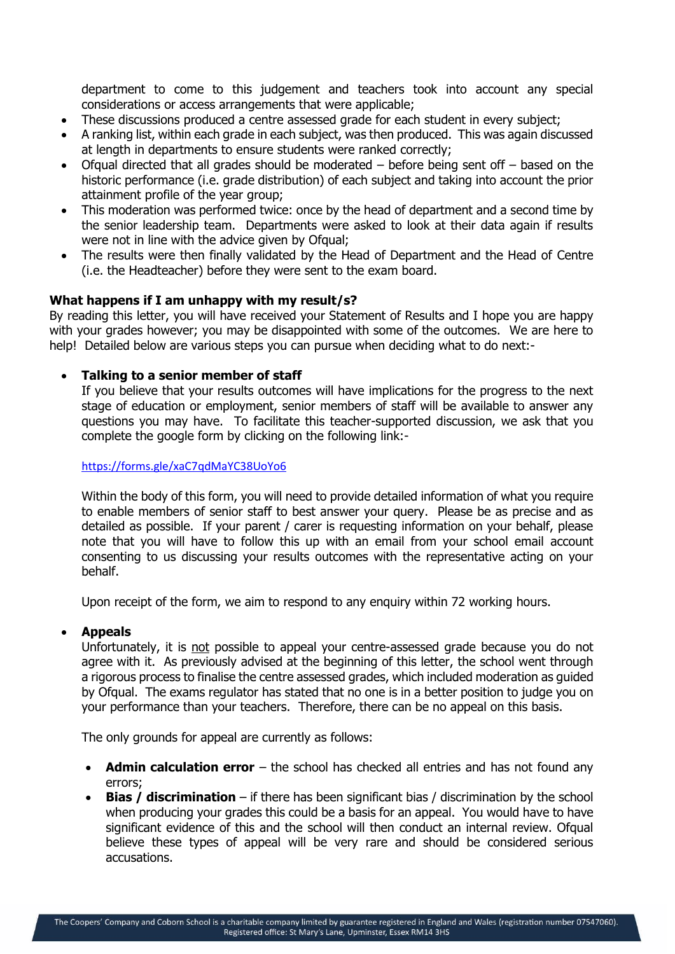department to come to this judgement and teachers took into account any special considerations or access arrangements that were applicable;

- These discussions produced a centre assessed grade for each student in every subject;
- A ranking list, within each grade in each subject, was then produced. This was again discussed at length in departments to ensure students were ranked correctly;
- $\bullet$  Ofqual directed that all grades should be moderated before being sent off based on the historic performance (i.e. grade distribution) of each subject and taking into account the prior attainment profile of the year group;
- This moderation was performed twice: once by the head of department and a second time by the senior leadership team. Departments were asked to look at their data again if results were not in line with the advice given by Ofqual;
- The results were then finally validated by the Head of Department and the Head of Centre (i.e. the Headteacher) before they were sent to the exam board.

### **What happens if I am unhappy with my result/s?**

By reading this letter, you will have received your Statement of Results and I hope you are happy with your grades however; you may be disappointed with some of the outcomes. We are here to help! Detailed below are various steps you can pursue when deciding what to do next:-

### **Talking to a senior member of staff**

If you believe that your results outcomes will have implications for the progress to the next stage of education or employment, senior members of staff will be available to answer any questions you may have. To facilitate this teacher-supported discussion, we ask that you complete the google form by clicking on the following link:-

#### <https://forms.gle/xaC7qdMaYC38UoYo6>

Within the body of this form, you will need to provide detailed information of what you require to enable members of senior staff to best answer your query. Please be as precise and as detailed as possible. If your parent / carer is requesting information on your behalf, please note that you will have to follow this up with an email from your school email account consenting to us discussing your results outcomes with the representative acting on your behalf.

Upon receipt of the form, we aim to respond to any enquiry within 72 working hours.

#### **Appeals**

Unfortunately, it is not possible to appeal your centre-assessed grade because you do not agree with it. As previously advised at the beginning of this letter, the school went through a rigorous process to finalise the centre assessed grades, which included moderation as guided by Ofqual. The exams regulator has stated that no one is in a better position to judge you on your performance than your teachers. Therefore, there can be no appeal on this basis.

The only grounds for appeal are currently as follows:

- **Admin calculation error** the school has checked all entries and has not found any errors;
- **Bias / discrimination** if there has been significant bias / discrimination by the school when producing your grades this could be a basis for an appeal. You would have to have significant evidence of this and the school will then conduct an internal review. Ofqual believe these types of appeal will be very rare and should be considered serious accusations.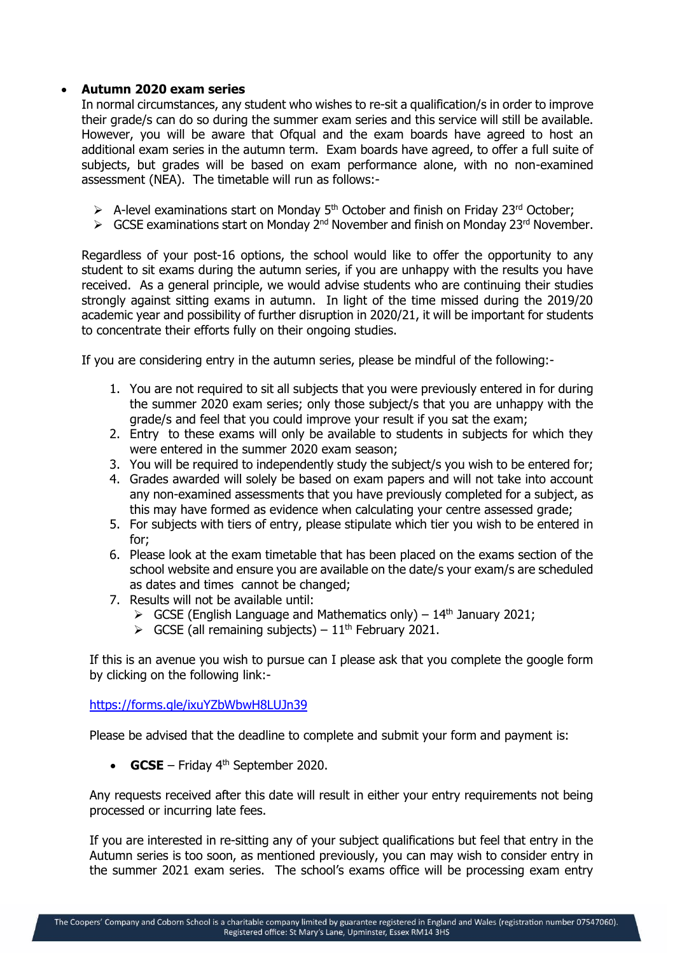# **Autumn 2020 exam series**

In normal circumstances, any student who wishes to re-sit a qualification/s in order to improve their grade/s can do so during the summer exam series and this service will still be available. However, you will be aware that Ofqual and the exam boards have agreed to host an additional exam series in the autumn term. Exam boards have agreed, to offer a full suite of subjects, but grades will be based on exam performance alone, with no non-examined assessment (NEA). The timetable will run as follows:-

- $\triangleright$  A-level examinations start on Monday 5<sup>th</sup> October and finish on Friday 23<sup>rd</sup> October;
- $\triangleright$  GCSE examinations start on Monday 2<sup>nd</sup> November and finish on Monday 23<sup>rd</sup> November.

Regardless of your post-16 options, the school would like to offer the opportunity to any student to sit exams during the autumn series, if you are unhappy with the results you have received. As a general principle, we would advise students who are continuing their studies strongly against sitting exams in autumn. In light of the time missed during the 2019/20 academic year and possibility of further disruption in 2020/21, it will be important for students to concentrate their efforts fully on their ongoing studies.

If you are considering entry in the autumn series, please be mindful of the following:-

- 1. You are not required to sit all subjects that you were previously entered in for during the summer 2020 exam series; only those subject/s that you are unhappy with the grade/s and feel that you could improve your result if you sat the exam;
- 2. Entry to these exams will only be available to students in subjects for which they were entered in the summer 2020 exam season;
- 3. You will be required to independently study the subject/s you wish to be entered for;
- 4. Grades awarded will solely be based on exam papers and will not take into account any non-examined assessments that you have previously completed for a subject, as this may have formed as evidence when calculating your centre assessed grade;
- 5. For subjects with tiers of entry, please stipulate which tier you wish to be entered in for;
- 6. Please look at the exam timetable that has been placed on the exams section of the school website and ensure you are available on the date/s your exam/s are scheduled as dates and times cannot be changed;
- 7. Results will not be available until:
	- $\triangleright$  GCSE (English Language and Mathematics only) 14<sup>th</sup> January 2021;
	- $\triangleright$  GCSE (all remaining subjects) 11<sup>th</sup> February 2021.

If this is an avenue you wish to pursue can I please ask that you complete the google form by clicking on the following link:-

#### <https://forms.gle/ixuYZbWbwH8LUJn39>

Please be advised that the deadline to complete and submit your form and payment is:

**GCSE** – Friday  $4<sup>th</sup>$  September 2020.

Any requests received after this date will result in either your entry requirements not being processed or incurring late fees.

If you are interested in re-sitting any of your subject qualifications but feel that entry in the Autumn series is too soon, as mentioned previously, you can may wish to consider entry in the summer 2021 exam series. The school's exams office will be processing exam entry